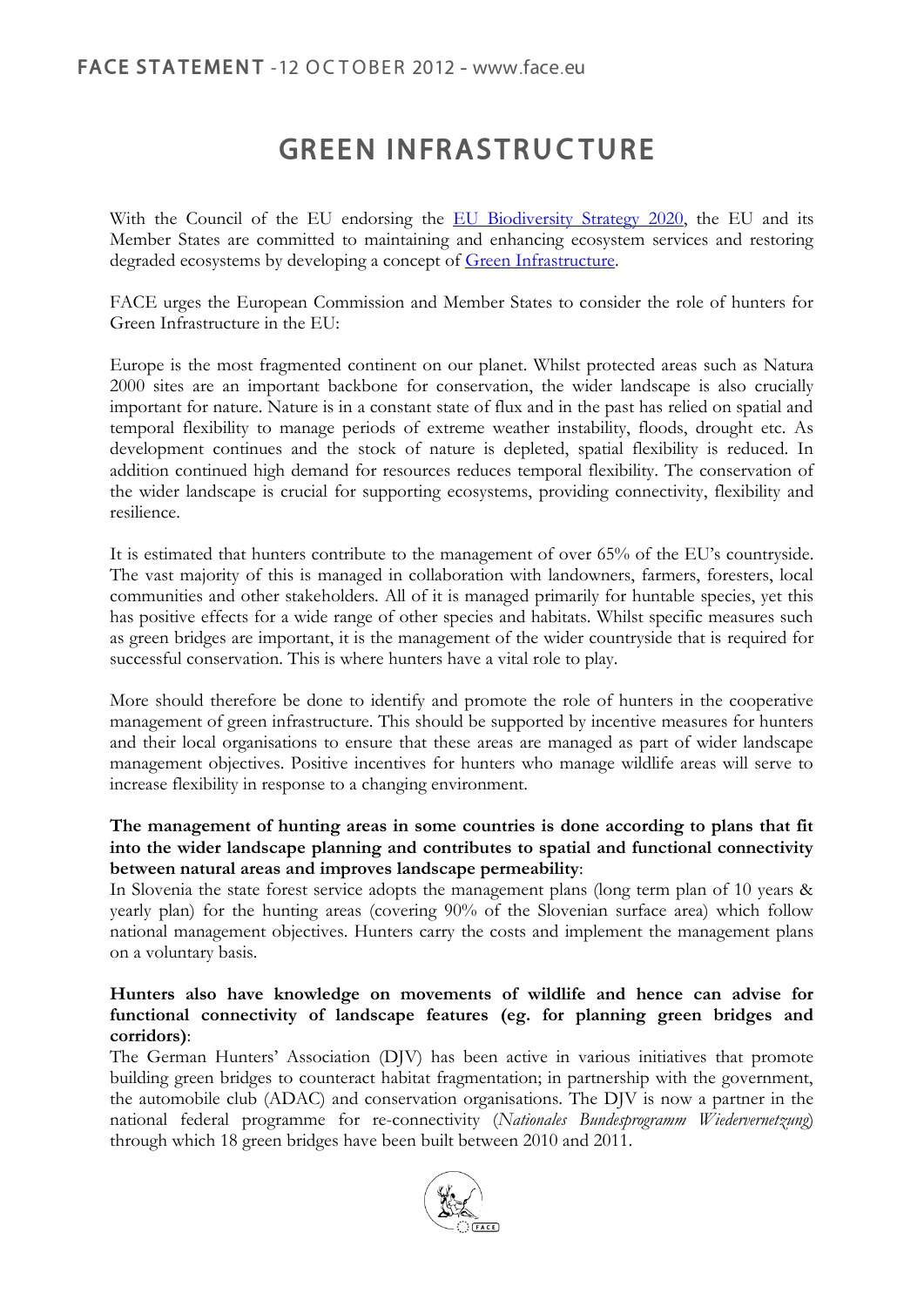# **GREEN INFRASTRUCTURE**

With the Council of the EU endorsing the [EU Biodiversity Strategy 2020,](http://ec.europa.eu/environment/nature/biodiversity/comm2006/pdf/2020/1_EN_ACT_part1_v7%5b1%5d.pdf) the EU and its Member States are committed to maintaining and enhancing ecosystem services and restoring degraded ecosystems by developing a concept of [Green Infrastructure.](http://ec.europa.eu/environment/nature/ecosystems/index_en.htm)

FACE urges the European Commission and Member States to consider the role of hunters for Green Infrastructure in the EU:

Europe is the most fragmented continent on our planet. Whilst protected areas such as Natura 2000 sites are an important backbone for conservation, the wider landscape is also crucially important for nature. Nature is in a constant state of flux and in the past has relied on spatial and temporal flexibility to manage periods of extreme weather instability, floods, drought etc. As development continues and the stock of nature is depleted, spatial flexibility is reduced. In addition continued high demand for resources reduces temporal flexibility. The conservation of the wider landscape is crucial for supporting ecosystems, providing connectivity, flexibility and resilience.

It is estimated that hunters contribute to the management of over 65% of the EU's countryside. The vast majority of this is managed in collaboration with landowners, farmers, foresters, local communities and other stakeholders. All of it is managed primarily for huntable species, yet this has positive effects for a wide range of other species and habitats. Whilst specific measures such as green bridges are important, it is the management of the wider countryside that is required for successful conservation. This is where hunters have a vital role to play.

More should therefore be done to identify and promote the role of hunters in the cooperative management of green infrastructure. This should be supported by incentive measures for hunters and their local organisations to ensure that these areas are managed as part of wider landscape management objectives. Positive incentives for hunters who manage wildlife areas will serve to increase flexibility in response to a changing environment.

### **The management of hunting areas in some countries is done according to plans that fit into the wider landscape planning and contributes to spatial and functional connectivity between natural areas and improves landscape permeability**:

In Slovenia the state forest service adopts the management plans (long term plan of 10 years & yearly plan) for the hunting areas (covering 90% of the Slovenian surface area) which follow national management objectives. Hunters carry the costs and implement the management plans on a voluntary basis.

#### **Hunters also have knowledge on movements of wildlife and hence can advise for functional connectivity of landscape features (eg. for planning green bridges and corridors)**:

The German Hunters' Association (DJV) has been active in various initiatives that promote building green bridges to counteract habitat fragmentation; in partnership with the government, the automobile club (ADAC) and conservation organisations. The DJV is now a partner in the national federal programme for re-connectivity (*Nationales Bundesprogramm Wiedervernetzung*) through which 18 green bridges have been built between 2010 and 2011.